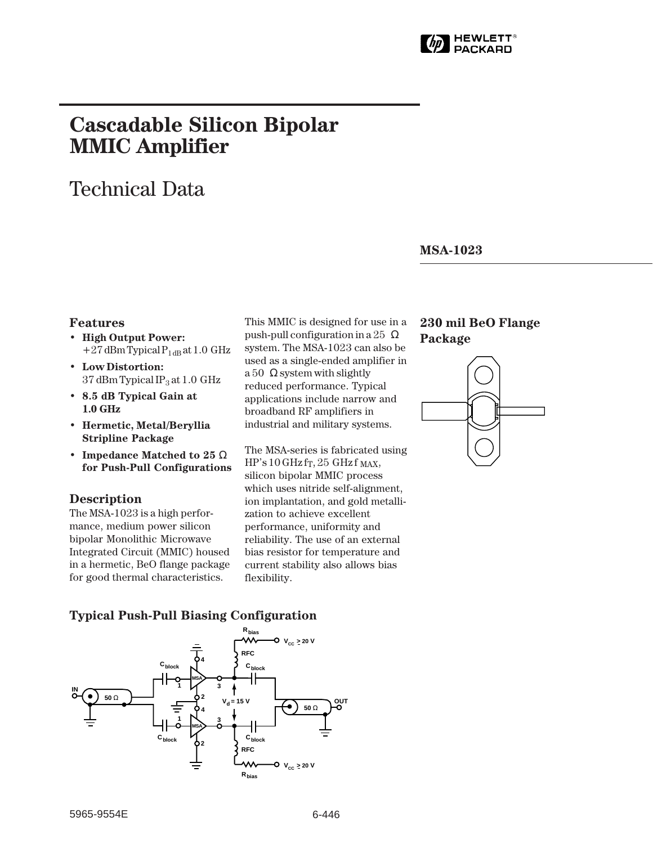

# **Cascadable Silicon Bipolar MMIC␣ Amplifier**

# Technical Data

### **MSA-1023**

### **Features**

- **High Output Power:**  $+27$  dBm Typical P<sub>1dB</sub> at 1.0 GHz
- **Low Distortion:** 37 dBm Typical IP<sub>3</sub> at 1.0 GHz
- **8.5 dB Typical Gain at 1.0␣ GHz**
- **Hermetic, Metal/Beryllia Stripline Package**
- **Impedance Matched to 25** Ω **for Push-Pull Configurations**

#### **Description**

The MSA-1023 is a high performance, medium power silicon bipolar Monolithic Microwave Integrated Circuit (MMIC) housed in a hermetic, BeO flange package for good thermal characteristics.

This MMIC is designed for use in a push-pull configuration in a 25  $Ω$ system. The MSA-1023 can also be used as a single-ended amplifier in a 50  $\Omega$  system with slightly reduced performance. Typical applications include narrow and broadband RF amplifiers in industrial and military systems.

The MSA-series is fabricated using  $HP's 10 GHz$  fr, 25 GHz f MAX, silicon bipolar MMIC process which uses nitride self-alignment, ion implantation, and gold metallization to achieve excellent performance, uniformity and reliability. The use of an external bias resistor for temperature and current stability also allows bias flexibility.

## **230 mil BeO Flange Package**



## **Typical Push-Pull Biasing Configuration**

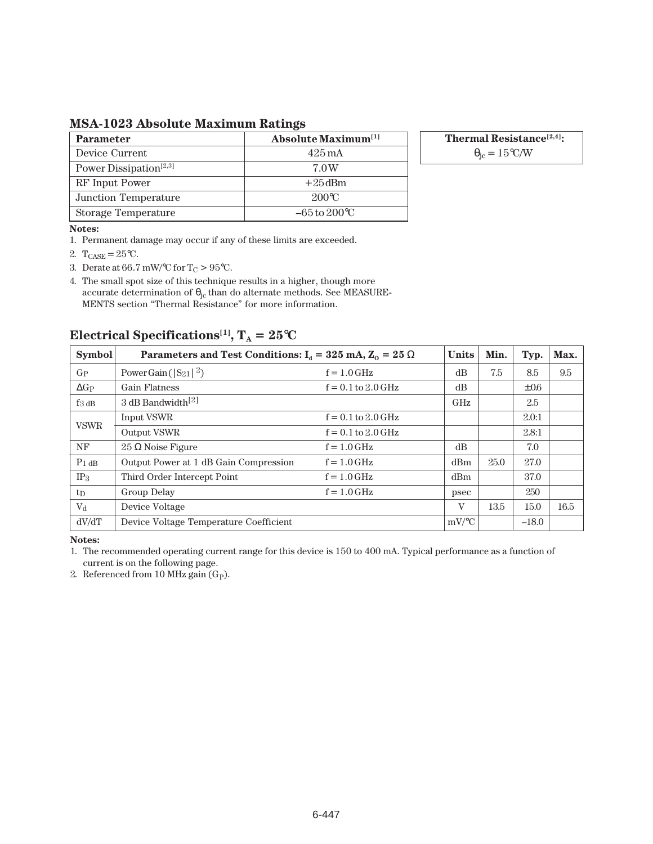**MSA-1023 Absolute Maximum Ratings**

| <b>Parameter</b>                   | <b>Absolute Maximum</b> <sup>[1]</sup> |
|------------------------------------|----------------------------------------|
| Device Current                     | $425 \,\mathrm{mA}$                    |
| Power Dissipation <sup>[2,3]</sup> | 7.0W                                   |
| RF Input Power                     | $+25$ dBm                              |
| Junction Temperature               | $200^{\circ}$ C                        |
| Storage Temperature                | $-65$ to $200^{\circ}$ C               |

**Thermal Resistance[2,4]:**

 $\theta_{\rm jc} = 15^{\circ}$ C/W

#### **Notes:**

1. Permanent damage may occur if any of these limits are exceeded.

- 2.  $T_{CASE} = 25$ °C.
- 3. Derate at 66.7 mW/°C for  $T_C > 95$ °C.

4. The small spot size of this technique results in a higher, though more accurate determination of  $\theta_{jc}$  than do alternate methods. See MEASURE-MENTS section "Thermal Resistance" for more information.

## **Electrical Specifications<sup>[1]</sup>,**  $T_A = 25^\circ \text{C}$

| <b>Symbol</b>      | Parameters and Test Conditions: $I_d = 325 \text{ mA}$ , $Z_0 = 25 \Omega$ | <b>Units</b>                          | Min.       | Typ. | Max.      |      |
|--------------------|----------------------------------------------------------------------------|---------------------------------------|------------|------|-----------|------|
| $G_{P}$            | Power Gain ( $ S_{21} ^2$ )                                                | $f = 1.0$ GHz                         | dB         | 7.5  | 8.5       | 9.5  |
| $\Delta G$ P       | <b>Gain Flatness</b>                                                       | $f = 0.1$ to $2.0$ GHz                | dB         |      | $\pm 0.6$ |      |
| $f_{3\,\text{dB}}$ | 3 dB Bandwidth <sup>[2]</sup>                                              |                                       | <b>GHz</b> |      | 2.5       |      |
| <b>VSWR</b>        | Input VSWR                                                                 | $f = 0.1$ to $2.0$ GHz                |            |      | 2.0:1     |      |
|                    | Output VSWR                                                                | $f = 0.1 \text{ to } 2.0 \text{ GHz}$ |            |      | 2.8:1     |      |
| <b>NF</b>          | $25 \Omega$ Noise Figure                                                   | $f = 1.0$ GHz                         | dB         |      | 7.0       |      |
| $P_1$ dB           | Output Power at 1 dB Gain Compression                                      | $f = 1.0$ GHz                         | dBm        | 25.0 | 27.0      |      |
| IP <sub>3</sub>    | Third Order Intercept Point                                                | $f = 1.0$ GHz                         | dBm        |      | 37.0      |      |
| $t_{D}$            | Group Delay                                                                | $f = 1.0$ GHz                         | psec       |      | 250       |      |
| $V_{\rm d}$        | Device Voltage                                                             |                                       | V          | 13.5 | 15.0      | 16.5 |
| dV/dT              | Device Voltage Temperature Coefficient                                     |                                       | $mV$ /°C   |      | $-18.0$   |      |

**Notes:**

1. The recommended operating current range for this device is 150 to 400 mA. Typical performance as a function of current is on the following page.

2. Referenced from 10 MHz gain (G<sub>P</sub>).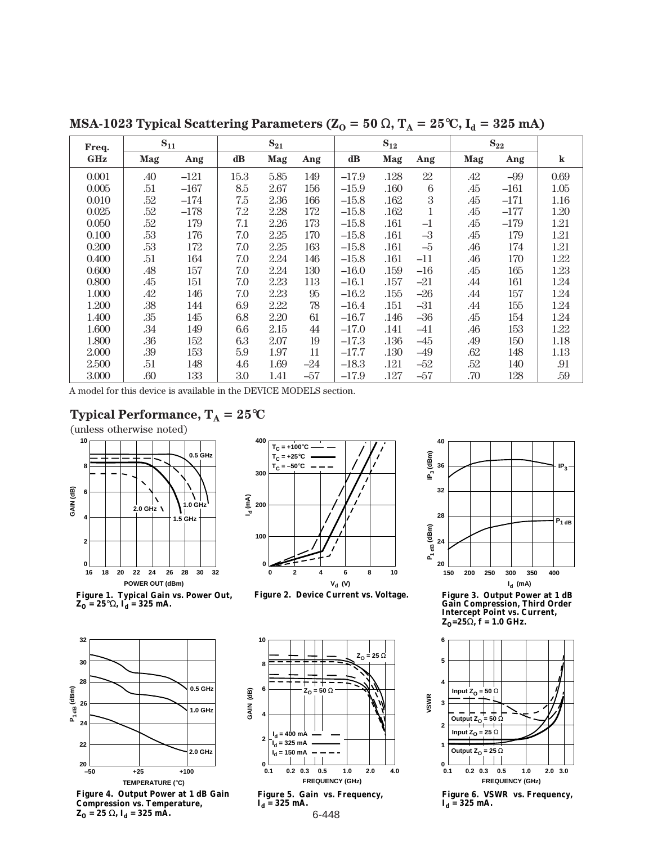| Freq.      | $S_{11}$ |        | $S_{21}$ |      |       | $S_{12}$ |      |        | $S_{22}$ |        |         |
|------------|----------|--------|----------|------|-------|----------|------|--------|----------|--------|---------|
| <b>GHz</b> | Mag      | Ang    | dB       | Mag  | Ang   | $\bf dB$ | Mag  | Ang    | Mag      | Ang    | $\bf k$ |
| 0.001      | .40      | $-121$ | 15.3     | 5.85 | 149   | $-17.9$  | .128 | $22\,$ | .42      | $-99$  | 0.69    |
| 0.005      | .51      | $-167$ | 8.5      | 2.67 | 156   | $-15.9$  | .160 | 6      | .45      | $-161$ | 1.05    |
| 0.010      | .52      | $-174$ | 7.5      | 2.36 | 166   | $-15.8$  | .162 | 3      | .45      | $-171$ | 1.16    |
| 0.025      | .52      | $-178$ | 7.2      | 2.28 | 172   | $-15.8$  | .162 | 1      | .45      | $-177$ | 1.20    |
| 0.050      | .52      | 179    | 7.1      | 2.26 | 173   | $-15.8$  | .161 | $-1$   | .45      | $-179$ | 1.21    |
| 0.100      | .53      | 176    | 7.0      | 2.25 | 170   | $-15.8$  | .161 | $-3$   | .45      | 179    | 1.21    |
| 0.200      | .53      | 172    | 7.0      | 2.25 | 163   | $-15.8$  | .161 | $-5$   | .46      | 174    | 1.21    |
| 0.400      | .51      | 164    | 7.0      | 2.24 | 146   | $-15.8$  | .161 | $-11$  | .46      | 170    | 1.22    |
| 0.600      | .48      | 157    | 7.0      | 2.24 | 130   | $-16.0$  | .159 | -16    | .45      | 165    | 1.23    |
| 0.800      | .45      | 151    | 7.0      | 2.23 | 113   | $-16.1$  | .157 | -21    | .44      | 161    | 1.24    |
| 1.000      | .42      | 146    | 7.0      | 2.23 | 95    | $-16.2$  | .155 | $-26$  | .44      | 157    | 1.24    |
| 1.200      | .38      | 144    | 6.9      | 2.22 | 78    | $-16.4$  | .151 | $-31$  | .44      | 155    | 1.24    |
| 1.400      | .35      | 145    | 6.8      | 2.20 | 61    | $-16.7$  | .146 | $-36$  | .45      | 154    | 1.24    |
| 1.600      | .34      | 149    | 6.6      | 2.15 | 44    | $-17.0$  | .141 | $-41$  | .46      | 153    | 1.22    |
| 1.800      | .36      | 152    | 6.3      | 2.07 | 19    | $-17.3$  | .136 | -45    | .49      | 150    | 1.18    |
| 2.000      | .39      | 153    | 5.9      | 1.97 | 11    | $-17.7$  | .130 | $-49$  | .62      | 148    | 1.13    |
| 2.500      | .51      | 148    | 4.6      | 1.69 | $-24$ | $-18.3$  | .121 | $-52$  | .52      | 140    | .91     |
| 3.000      | .60      | 133    | 3.0      | 1.41 | $-57$ | $-17.9$  | .127 | -57    | .70      | 128    | .59     |

**MSA-1023 Typical Scattering Parameters (** $Z_0 = 50 \Omega$ **,**  $T_A = 25^{\circ}C$ **,**  $I_d = 325$  **mA)** 

A model for this device is available in the DEVICE MODELS section.

## **Typical Performance,**  $T_A = 25^{\circ}C$

(unless otherwise noted)



**Figure 1. Typical Gain vs. Power Out,**   $\mathbf{Z_0}$  = 25°Ω,  $\mathbf{I_d}$  = 325 mA.





**Figure 2. Device Current vs. Voltage.**





**Figure 3. Output Power at 1 dB Gain Compression, Third Order Intercept Point vs. Current,**   $Z_0 = 25\Omega$ , f = 1.0 GHz.



**Figure 6. VSWR vs. Frequency,**   $I_d = 325$  mA.